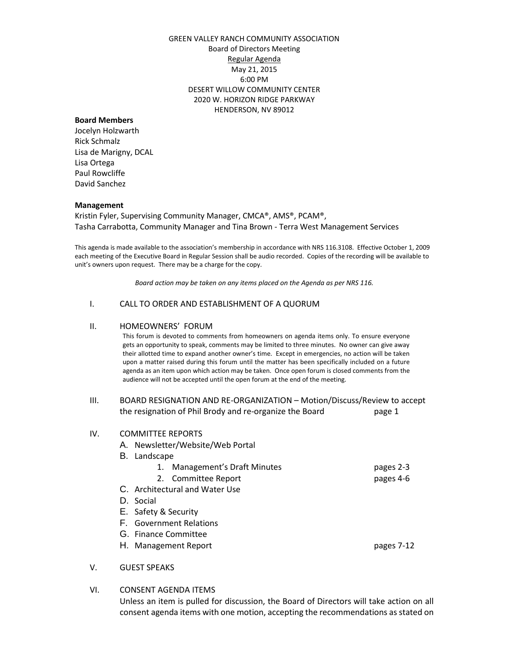## GREEN VALLEY RANCH COMMUNITY ASSOCIATION Board of Directors Meeting Regular Agenda May 21, 2015 6:00 PM DESERT WILLOW COMMUNITY CENTER 2020 W. HORIZON RIDGE PARKWAY HENDERSON, NV 89012

### **Board Members**

Jocelyn Holzwarth Rick Schmalz Lisa de Marigny, DCAL Lisa Ortega Paul Rowcliffe David Sanchez

### **Management**

Kristin Fyler, Supervising Community Manager, CMCA®, AMS®, PCAM®, Tasha Carrabotta, Community Manager and Tina Brown - Terra West Management Services

This agenda is made available to the association's membership in accordance with NRS 116.3108. Effective October 1, 2009 each meeting of the Executive Board in Regular Session shall be audio recorded. Copies of the recording will be available to unit's owners upon request. There may be a charge for the copy.

*Board action may be taken on any items placed on the Agenda as per NRS 116.*

### I. CALL TO ORDER AND ESTABLISHMENT OF A QUORUM

### II. HOMEOWNERS' FORUM

This forum is devoted to comments from homeowners on agenda items only. To ensure everyone gets an opportunity to speak, comments may be limited to three minutes. No owner can give away their allotted time to expand another owner's time. Except in emergencies, no action will be taken upon a matter raised during this forum until the matter has been specifically included on a future agenda as an item upon which action may be taken. Once open forum is closed comments from the audience will not be accepted until the open forum at the end of the meeting.

## III. BOARD RESIGNATION AND RE-ORGANIZATION – Motion/Discuss/Review to accept the resignation of Phil Brody and re-organize the Board page 1

| IV. | <b>COMMITTEE REPORTS</b><br>A. Newsletter/Website/Web Portal |            |
|-----|--------------------------------------------------------------|------------|
|     | B. Landscape                                                 |            |
|     | Management's Draft Minutes                                   | pages 2-3  |
|     | 2. Committee Report                                          | pages 4-6  |
|     | C. Architectural and Water Use                               |            |
|     | D. Social                                                    |            |
|     | E. Safety & Security                                         |            |
|     | <b>F.</b> Government Relations                               |            |
|     | G. Finance Committee                                         |            |
|     | H. Management Report                                         | pages 7-12 |
|     |                                                              |            |

- V. GUEST SPEAKS
- VI. CONSENT AGENDA ITEMS

Unless an item is pulled for discussion, the Board of Directors will take action on all consent agenda items with one motion, accepting the recommendations as stated on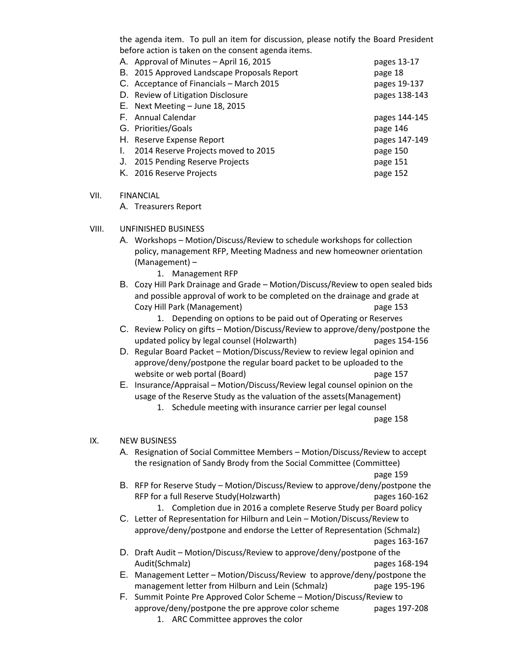the agenda item. To pull an item for discussion, please notify the Board President before action is taken on the consent agenda items.

|    | A. Approval of Minutes - April 16, 2015     | pages 13-17   |
|----|---------------------------------------------|---------------|
|    | B. 2015 Approved Landscape Proposals Report | page 18       |
|    | C. Acceptance of Financials - March 2015    | pages 19-137  |
|    | D. Review of Litigation Disclosure          | pages 138-143 |
|    | E. Next Meeting $-$ June 18, 2015           |               |
|    | F. Annual Calendar                          | pages 144-145 |
|    | G. Priorities/Goals                         | page 146      |
|    | H. Reserve Expense Report                   | pages 147-149 |
| I. | 2014 Reserve Projects moved to 2015         | page 150      |
| J. | 2015 Pending Reserve Projects               | page 151      |
|    | K. 2016 Reserve Projects                    | page 152      |

## VII. FINANCIAL

A. Treasurers Report

## VIII. UNFINISHED BUSINESS

- A. Workshops Motion/Discuss/Review to schedule workshops for collection policy, management RFP, Meeting Madness and new homeowner orientation (Management) –
	- 1. Management RFP
- B. Cozy Hill Park Drainage and Grade Motion/Discuss/Review to open sealed bids and possible approval of work to be completed on the drainage and grade at Cozy Hill Park (Management) page 153
	- 1. Depending on options to be paid out of Operating or Reserves
- C. Review Policy on gifts Motion/Discuss/Review to approve/deny/postpone the updated policy by legal counsel (Holzwarth) pages 154-156
- D. Regular Board Packet Motion/Discuss/Review to review legal opinion and approve/deny/postpone the regular board packet to be uploaded to the website or web portal (Board) and page 157
- E. Insurance/Appraisal Motion/Discuss/Review legal counsel opinion on the usage of the Reserve Study as the valuation of the assets(Management)
	- 1. Schedule meeting with insurance carrier per legal counsel

page 158

## IX. NEW BUSINESS

A. Resignation of Social Committee Members – Motion/Discuss/Review to accept the resignation of Sandy Brody from the Social Committee (Committee)

page 159

- B. RFP for Reserve Study Motion/Discuss/Review to approve/deny/postpone the RFP for a full Reserve Study(Holzwarth) pages 160-162
	- 1. Completion due in 2016 a complete Reserve Study per Board policy
- C. Letter of Representation for Hilburn and Lein Motion/Discuss/Review to approve/deny/postpone and endorse the Letter of Representation (Schmalz) pages 163-167
- D. Draft Audit Motion/Discuss/Review to approve/deny/postpone of the Audit(Schmalz) pages 168-194
- E. Management Letter Motion/Discuss/Review to approve/deny/postpone the management letter from Hilburn and Lein (Schmalz) page 195-196
- F. Summit Pointe Pre Approved Color Scheme Motion/Discuss/Review to approve/deny/postpone the pre approve color scheme pages 197-208 1. ARC Committee approves the color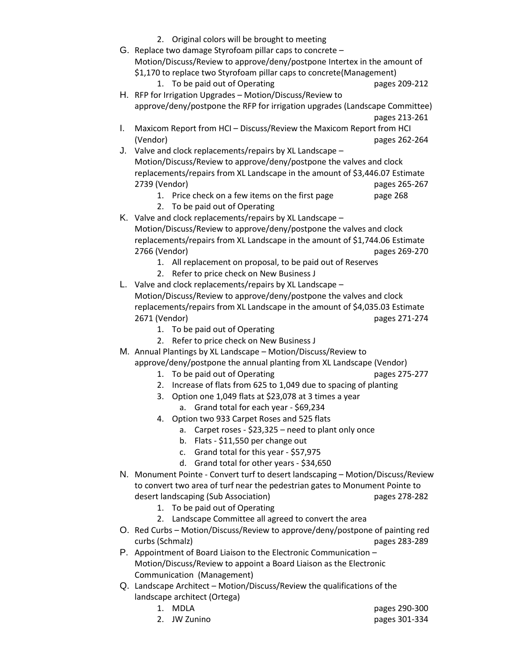- 2. Original colors will be brought to meeting
- G. Replace two damage Styrofoam pillar caps to concrete Motion/Discuss/Review to approve/deny/postpone Intertex in the amount of \$1,170 to replace two Styrofoam pillar caps to concrete(Management)
	- 1. To be paid out of Operating pages 209-212
- H. RFP for Irrigation Upgrades Motion/Discuss/Review to approve/deny/postpone the RFP for irrigation upgrades (Landscape Committee) pages 213-261
- I. Maxicom Report from HCI Discuss/Review the Maxicom Report from HCI (Vendor) pages 262-264
- J. Valve and clock replacements/repairs by XL Landscape Motion/Discuss/Review to approve/deny/postpone the valves and clock replacements/repairs from XL Landscape in the amount of \$3,446.07 Estimate 2739 (Vendor) pages 265-267
	- 1. Price check on a few items on the first page page 268
	- 2. To be paid out of Operating
- K. Valve and clock replacements/repairs by XL Landscape Motion/Discuss/Review to approve/deny/postpone the valves and clock replacements/repairs from XL Landscape in the amount of \$1,744.06 Estimate 2766 (Vendor) pages 269-270
	- 1. All replacement on proposal, to be paid out of Reserves
	- 2. Refer to price check on New Business J
- L. Valve and clock replacements/repairs by XL Landscape Motion/Discuss/Review to approve/deny/postpone the valves and clock replacements/repairs from XL Landscape in the amount of \$4,035.03 Estimate 2671 (Vendor) pages 271-274
	- 1. To be paid out of Operating
	- 2. Refer to price check on New Business J
- M. Annual Plantings by XL Landscape Motion/Discuss/Review to approve/deny/postpone the annual planting from XL Landscape (Vendor)
	- 1. To be paid out of Operating example 275-277
	- 2. Increase of flats from 625 to 1,049 due to spacing of planting
	- 3. Option one 1,049 flats at \$23,078 at 3 times a year a. Grand total for each year - \$69,234
	- 4. Option two 933 Carpet Roses and 525 flats
		- a. Carpet roses \$23,325 need to plant only once
		- b. Flats \$11,550 per change out
		- c. Grand total for this year \$57,975
		- d. Grand total for other years \$34,650
- N. Monument Pointe Convert turf to desert landscaping Motion/Discuss/Review to convert two area of turf near the pedestrian gates to Monument Pointe to desert landscaping (Sub Association) example the pages 278-282
	- 1. To be paid out of Operating
	- 2. Landscape Committee all agreed to convert the area
- O. Red Curbs Motion/Discuss/Review to approve/deny/postpone of painting red curbs (Schmalz) pages 283-289
- P. Appointment of Board Liaison to the Electronic Communication Motion/Discuss/Review to appoint a Board Liaison as the Electronic Communication (Management)
- Q. Landscape Architect Motion/Discuss/Review the qualifications of the landscape architect (Ortega)
	-
	-
	- 1. MDLA pages 290-300 2. JW Zunino pages 301-334